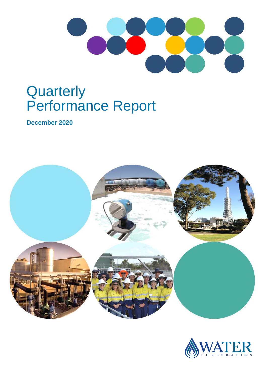

# **Quarterly** Performance Report

**December 2020**



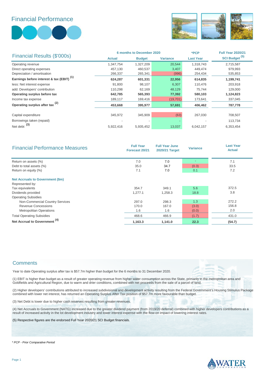Financial Performance





| Financial Results (\$'000s)                          |               | <b>6 months to December 2020</b> | *PCP            | <b>Full Year 2020/21</b> |                           |
|------------------------------------------------------|---------------|----------------------------------|-----------------|--------------------------|---------------------------|
|                                                      | <b>Actual</b> | <b>Budget</b>                    | <b>Variance</b> | <b>Last Year</b>         | SCI Budget <sup>(5)</sup> |
| Operating revenue                                    | 1,347,754     | 1,327,209                        | 20,544          | 1,318,743                | 2,715,587                 |
| Direct operating expenses                            | 457,130       | 460,537                          | 3,407           | 449,474                  | 979,993                   |
| Depreciation / amortisation                          | 266,337       | 265,341                          | (996)           | 254,434                  | 535,853                   |
| Earnings before interest & tax (EBIT) <sup>(1)</sup> | 624,287       | 601,331                          | 22,956          | 614,835                  | 1,199,741                 |
| less: Net interest expense                           | 91.800        | 98,107                           | 6,307           | 110,476                  | 203,918                   |
| add: Developers' contribution                        | 110,298       | 62,169                           | 48,129          | 75,744                   | 129,000                   |
| Operating surplus before tax                         | 642,785       | 565,393                          | 77,392          | 580,103                  | 1,124,823                 |
| Income tax expense                                   | 189,117       | 169,416                          | (19, 701)       | 173,641                  | 337,045                   |
| Operating surplus after tax <sup>(2)</sup>           | 453,668       | 395,977                          | 57,691          | 406,462                  | 787,778                   |
|                                                      |               |                                  |                 |                          |                           |
| Capital expenditure                                  | 345,972       | 345,909                          | (63)            | 267,030                  | 708,507                   |
| Borrowings taken (repaid)                            |               | $\overline{\phantom{a}}$         |                 |                          | 113,734                   |
| Net debt $(3)$                                       | 5,922,416     | 5,935,452                        | 13,037          | 6,042,157                | 6,353,454                 |

| <b>Financial Performance Measures</b>    | <b>Full Year</b><br>Forecast 20/21 | <b>Full Year June</b><br>2020/21 Target | <b>Variance</b> | <b>Last Year</b><br><b>Actual</b> |
|------------------------------------------|------------------------------------|-----------------------------------------|-----------------|-----------------------------------|
| Return on assets (%)                     | 7.0                                | 7.0                                     | $\sim$          | 7.1                               |
| Debt to total assets (%)                 | 35.0                               | 34.7                                    | (0.3)           | 33.5                              |
| Return on equity (%)                     | 7.1                                | 7.0                                     | 0.1             | 7.2                               |
| <b>Net Accruals to Government (\$m)</b>  |                                    |                                         |                 |                                   |
| Represented by:                          |                                    |                                         |                 |                                   |
| Tax equivalents                          | 354.7                              | 349.1                                   | 5.6             | 372.5                             |
| Dividends provided                       | 1,277.1                            | 1,258.3                                 | 18.8            | 3.8                               |
| <b>Operating Subsidies</b>               |                                    |                                         |                 |                                   |
| Non-Commercial Country Services          | 297.0                              | 298.3                                   | 1.3             | 272.2                             |
| <b>Revenue Concessions</b>               | 170.0                              | 167.0                                   | (3.0)           | 156.8                             |
| <b>Metropolitan Operations</b>           | 1.6                                | 1.6                                     | (0.0)           | 2.0                               |
| <b>Total Operating Subsidies</b>         | 468.6                              | 466.9                                   | (1.7)           | 431.0                             |
| Net Accrual to Government <sup>(4)</sup> | 1,163.3                            | 1,141.0                                 | 22.3            | (54.7)                            |

#### **Comments**

Year to date Operating surplus after tax is \$57.7m higher than budget for the 6 months to 31 December 2020.

(1) EBIT is higher than budget as a result of greater operating revenue from higher water consumption across the State, primarily in the metropolitan area and Goldfields and Agricultural Region, due to warm and drier conditions, combined with net proceeds from the sale of a parcel of land.

(2) Higher developers' contributions attributed to increased subdivisional and development activity resulting from the Federal Government's Housing Stimulus Package combined with lower net interest, has returned an Operating Surplus After Tax position of \$57.7m more favourable than budget.

(3) Net Debt is lower due to higher cash reserves resulting from greater revenues.

(4) Net Accruals to Government (NATG) increased due to the greater dividend payment (from 2019/20 deferral) combined with higher developers contributions as a result of increased activity in the lot development industry and lower interest expense with the flow-on impact of lowering interest rates.

(5) Respective figures are the endorsed Full Year 2020/21 SCI Budget financials.

*\* PCP - Prior Comparative Period*

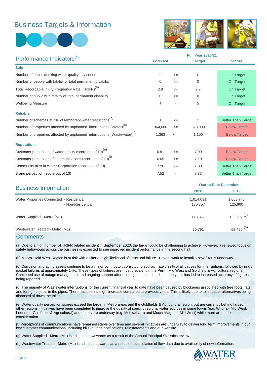### Business Targets & Information





|                                                                                      | <b>Full Year 2020/21</b> |        |               |                           |  |
|--------------------------------------------------------------------------------------|--------------------------|--------|---------------|---------------------------|--|
| Performance Indicators <sup>(a)</sup>                                                | <b>Forecast</b>          |        | <b>Target</b> | <b>Status</b>             |  |
| <b>Safe</b>                                                                          |                          |        |               |                           |  |
| Number of public drinking water quality advisories                                   | 0                        | $\leq$ | $\mathbf 0$   | On Target                 |  |
| Number of people with fatality or total permanent disability                         | $\Omega$                 | $\leq$ | $\Omega$      | On Target                 |  |
| Total Recordable Injury Frequency Rate (TRIFR) <sup>(a)</sup>                        | 2.9                      | $\leq$ | 2.9           | On Target                 |  |
| Number of public with fatality or total permanent disability                         | 0                        | $\leq$ | $\mathbf 0$   | On Target                 |  |
| <b>Wellbeing Measure</b>                                                             | 5                        | $>=$   | 5             | On Target                 |  |
| <b>Reliable</b>                                                                      |                          |        |               |                           |  |
| Number of schemes at risk of temporary water restrictions <sup>(b)</sup>             |                          | $\leq$ | 2             | <b>Better Than Target</b> |  |
| Number of properties affected by unplanned interruptions (Water) <sup>(c)</sup>      | 364,000                  | $\leq$ | 325,000       | <b>Below Target</b>       |  |
| Number of properties affected by unplanned interruptions (Wastewater) <sup>(d)</sup> | 1,393                    | $\leq$ | 1,100         | <b>Below Target</b>       |  |
| <b>Reputation</b>                                                                    |                          |        |               |                           |  |
| Customer perception of water quality (score out of 10) <sup>(e)</sup>                | 6.81                     | $>=$   | 7.00          | <b>Below Target</b>       |  |
| Customer perception of communications (score out of 10) <sup>(f)</sup>               | 6.65                     | $>=$   | 7.10          | <b>Below Target</b>       |  |
| Community trust in Water Corporation (score out of 10)                               | 7.26                     | $>=$   | 7.03          | <b>Better Than Target</b> |  |
| Brand perception (score out of 10)                                                   | 7.52                     | $>=$   | 7.33          | <b>Better Than Target</b> |  |

| <b>Year to Date December</b> |                          |  |  |
|------------------------------|--------------------------|--|--|
| 2020                         | 2019                     |  |  |
| 1,014,091                    | 1,003,746                |  |  |
| 130,757                      | 125,960                  |  |  |
| 118,377                      | $122,597$ <sup>(g)</sup> |  |  |
| 70.791                       | 68,480 <sup>(h)</sup>    |  |  |
|                              |                          |  |  |

#### **Comments**

(a) Due to a high number of TRIFR related incident in September 2020, the target could be challenging to achieve. However, a renewed focus on safety behaviours across the business is expected to see improved incident performance in the second half.

(b) Moora - Mid West Region is at risk with a filter at high likelihood of structural failure. Project work to install a new filter is underway.

(c) Corrosion and aging assets continue to be a major contributor, constituting approximately 32% of all causes for interruptions, followed by ring / gasket failures at approximately 14%. These types of failures are most prevalent in the Perth, Mid West and Goldfield & Agricultural regions. Continued use of outage management and ongoing support after training conducted earlier in the year, has led to increased accuracy of figures being reported.

(d) The majority of Wastewater interruptions for the current financial year to date have been caused by blockages associated with tree roots, fats and foreign objects in the pipes. There has been a slight increase compared to previous years. This is likely due to toilet paper alternatives being disposed of down the toilet.

(e) Water quality perception scores exceed the target in Metro areas and the Goldfields & Agricultural region, but are currently behind target in other regions. Initiatives have been completed to improve the quality of specific regional water sources in some towns (e.g. Wiluna - Mid West, Leonora - Goldfields & Agricultural) and others are underway (e.g. Meekatharra and Mount Magnet - Mid West) while more are under consideration.

(f) Perceptions of communications have remained stable over time and several initiatives are underway to deliver long term improvements in our key customer communications, including bills, outage notifications, reinstatements and our website.

(g) Water Supplied - Metro (ML) is adjusted downwards as a result of the Annual Principal Statistics review.

(h) Wastewater Treated - Metro (ML) is adjusted upwards as a result of recalculation of flow data due to availability of new information.